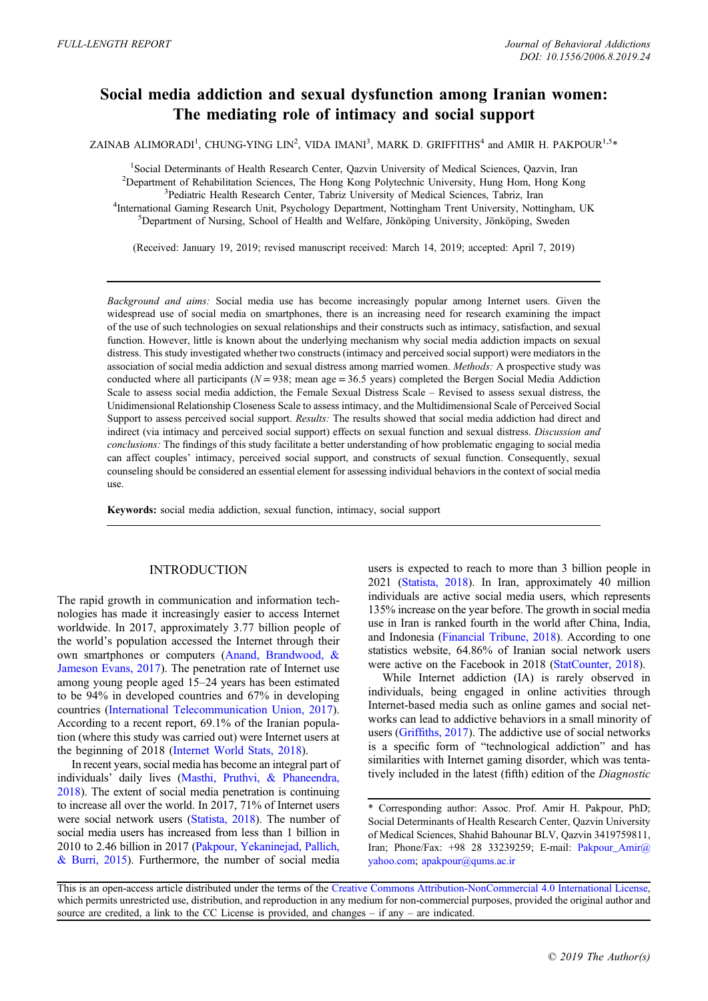# Social media addiction and sexual dysfunction among Iranian women: The mediating role of intimacy and social support

ZAINAB ALIMORADI<sup>1</sup>, CHUNG-YING LIN<sup>2</sup>, VIDA IMANI<sup>3</sup>, MARK D. GRIFFITHS<sup>4</sup> and AMIR H. PAKPOUR<sup>1,5</sup>\*

<sup>1</sup>Social Determinants of Health Research Center, Qazvin University of Medical Sciences, Qazvin, Iran <sup>2</sup>Department of Pehobilitation Sciences. The Hong Kong Polytechnic University, Hung Home Kong Kong  $<sup>2</sup>$ Department of Rehabilitation Sciences, The Hong Kong Polytechnic University, Hung Hom, Hong Kong</sup> <sup>3</sup>Pediatric Health Research Center, Tabriz University of Medical Sciences, Tabriz, Iran <sup>4</sup>International Gaming Research Unit, Psychology Department, Nottingham Trent University, Nottingham, UK  ${}^{5}$ Department of Nursing, School of Health and Welfare, Jönköping University, Jönköping, Sweden

(Received: January 19, 2019; revised manuscript received: March 14, 2019; accepted: April 7, 2019)

Background and aims: Social media use has become increasingly popular among Internet users. Given the widespread use of social media on smartphones, there is an increasing need for research examining the impact of the use of such technologies on sexual relationships and their constructs such as intimacy, satisfaction, and sexual function. However, little is known about the underlying mechanism why social media addiction impacts on sexual distress. This study investigated whether two constructs (intimacy and perceived social support) were mediators in the association of social media addiction and sexual distress among married women. Methods: A prospective study was conducted where all participants ( $N = 938$ ; mean age = 36.5 years) completed the Bergen Social Media Addiction Scale to assess social media addiction, the Female Sexual Distress Scale – Revised to assess sexual distress, the Unidimensional Relationship Closeness Scale to assess intimacy, and the Multidimensional Scale of Perceived Social Support to assess perceived social support. Results: The results showed that social media addiction had direct and indirect (via intimacy and perceived social support) effects on sexual function and sexual distress. Discussion and conclusions: The findings of this study facilitate a better understanding of how problematic engaging to social media can affect couples' intimacy, perceived social support, and constructs of sexual function. Consequently, sexual counseling should be considered an essential element for assessing individual behaviors in the context of social media use.

Keywords: social media addiction, sexual function, intimacy, social support

## **INTRODUCTION**

The rapid growth in communication and information technologies has made it increasingly easier to access Internet worldwide. In 2017, approximately 3.77 billion people of the world's population accessed the Internet through their own smartphones or computers [\(Anand, Brandwood, &](#page-6-0) [Jameson Evans, 2017](#page-6-0)). The penetration rate of Internet use among young people aged 15–24 years has been estimated to be 94% in developed countries and 67% in developing countries [\(International Telecommunication Union, 2017\)](#page-6-0). According to a recent report, 69.1% of the Iranian population (where this study was carried out) were Internet users at the beginning of 2018 ([Internet World Stats, 2018\)](#page-6-0).

In recent years, social media has become an integral part of individuals' daily lives [\(Masthi, Pruthvi, & Phaneendra,](#page-7-0) [2018\)](#page-7-0). The extent of social media penetration is continuing to increase all over the world. In 2017, 71% of Internet users were social network users ([Statista, 2018\)](#page-7-0). The number of social media users has increased from less than 1 billion in 2010 to 2.46 billion in 2017 ([Pakpour, Yekaninejad, Pallich,](#page-7-0) [& Burri, 2015](#page-7-0)). Furthermore, the number of social media

users is expected to reach to more than 3 billion people in 2021 [\(Statista, 2018\)](#page-7-0). In Iran, approximately 40 million individuals are active social media users, which represents 135% increase on the year before. The growth in social media use in Iran is ranked fourth in the world after China, India, and Indonesia ([Financial Tribune, 2018\)](#page-6-0). According to one statistics website, 64.86% of Iranian social network users were active on the Facebook in 2018 ([StatCounter, 2018](#page-7-0)).

While Internet addiction (IA) is rarely observed in individuals, being engaged in online activities through Internet-based media such as online games and social networks can lead to addictive behaviors in a small minority of users (Griffi[ths, 2017](#page-6-0)). The addictive use of social networks is a specific form of "technological addiction" and has similarities with Internet gaming disorder, which was tentatively included in the latest (fifth) edition of the Diagnostic

<sup>\*</sup> Corresponding author: Assoc. Prof. Amir H. Pakpour, PhD; Social Determinants of Health Research Center, Qazvin University of Medical Sciences, Shahid Bahounar BLV, Qazvin 3419759811, Iran; Phone/Fax: +98 28 33239259; E-mail: [Pakpour\\_Amir@](mailto:Pakpour_Amir@yahoo.com) [yahoo.com](mailto:Pakpour_Amir@yahoo.com); [apakpour@qums.ac.ir](mailto:apakpour@qums.ac.ir)

This is an open-access article distributed under the terms of the [Creative Commons Attribution-NonCommercial 4.0 International License,](http://creativecommons.org/licenses/by-nc/4.0/) which permits unrestricted use, distribution, and reproduction in any medium for non-commercial purposes, provided the original author and source are credited, a link to the CC License is provided, and changes – if any – are indicated.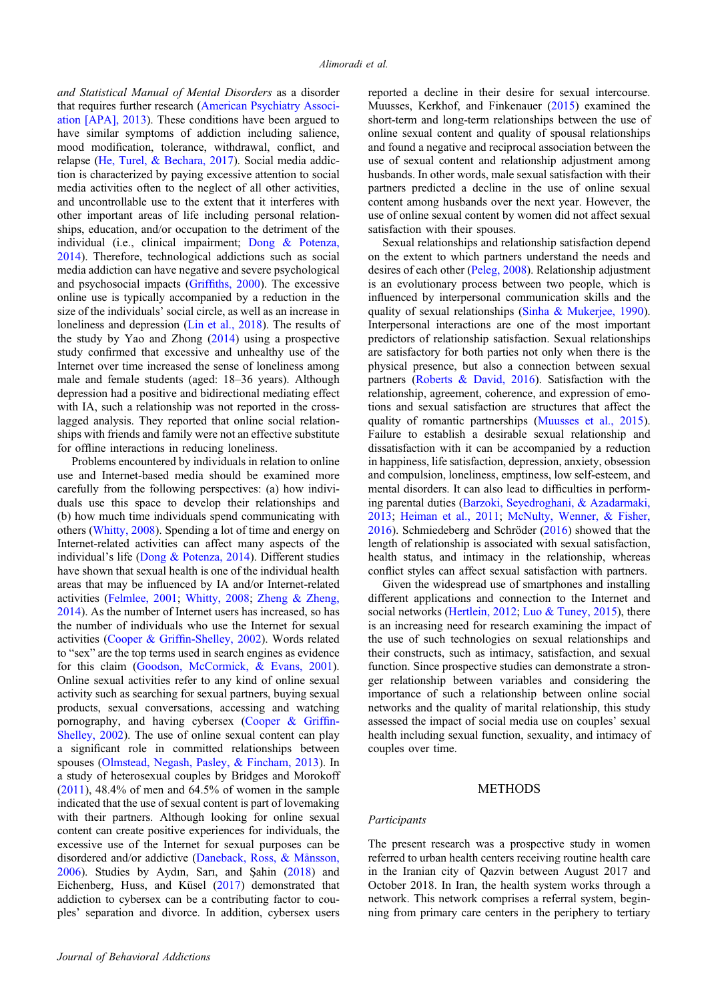and Statistical Manual of Mental Disorders as a disorder that requires further research ([American Psychiatry Associ](#page-5-0)[ation \[APA\], 2013](#page-5-0)). These conditions have been argued to have similar symptoms of addiction including salience, mood modification, tolerance, withdrawal, conflict, and relapse ([He, Turel, & Bechara, 2017](#page-6-0)). Social media addiction is characterized by paying excessive attention to social media activities often to the neglect of all other activities, and uncontrollable use to the extent that it interferes with other important areas of life including personal relationships, education, and/or occupation to the detriment of the individual (i.e., clinical impairment; [Dong & Potenza,](#page-6-0) [2014](#page-6-0)). Therefore, technological addictions such as social media addiction can have negative and severe psychological and psychosocial impacts (Griffi[ths, 2000\)](#page-6-0). The excessive online use is typically accompanied by a reduction in the size of the individuals' social circle, as well as an increase in loneliness and depression ([Lin et al., 2018\)](#page-7-0). The results of the study by Yao and Zhong ([2014\)](#page-7-0) using a prospective study confirmed that excessive and unhealthy use of the Internet over time increased the sense of loneliness among male and female students (aged: 18–36 years). Although depression had a positive and bidirectional mediating effect with IA, such a relationship was not reported in the crosslagged analysis. They reported that online social relationships with friends and family were not an effective substitute for offline interactions in reducing loneliness.

Problems encountered by individuals in relation to online use and Internet-based media should be examined more carefully from the following perspectives: (a) how individuals use this space to develop their relationships and (b) how much time individuals spend communicating with others [\(Whitty, 2008\)](#page-7-0). Spending a lot of time and energy on Internet-related activities can affect many aspects of the individual's life ([Dong & Potenza, 2014](#page-6-0)). Different studies have shown that sexual health is one of the individual health areas that may be influenced by IA and/or Internet-related activities ([Felmlee, 2001](#page-6-0); [Whitty, 2008;](#page-7-0) [Zheng & Zheng,](#page-7-0) [2014](#page-7-0)). As the number of Internet users has increased, so has the number of individuals who use the Internet for sexual activities (Cooper & Griffi[n-Shelley, 2002\)](#page-6-0). Words related to "sex" are the top terms used in search engines as evidence for this claim [\(Goodson, McCormick, & Evans, 2001\)](#page-6-0). Online sexual activities refer to any kind of online sexual activity such as searching for sexual partners, buying sexual products, sexual conversations, accessing and watching pornography, and having cybersex [\(Cooper & Grif](#page-6-0)fin-[Shelley, 2002](#page-6-0)). The use of online sexual content can play a significant role in committed relationships between spouses ([Olmstead, Negash, Pasley, & Fincham, 2013](#page-7-0)). In a study of heterosexual couples by Bridges and Morokoff  $(2011)$  $(2011)$ , 48.4% of men and 64.5% of women in the sample indicated that the use of sexual content is part of lovemaking with their partners. Although looking for online sexual content can create positive experiences for individuals, the excessive use of the Internet for sexual purposes can be disordered and/or addictive [\(Daneback, Ross, & Månsson,](#page-6-0) [2006](#page-6-0)). Studies by Aydın, Sarı, and Şahin ([2018\)](#page-6-0) and Eichenberg, Huss, and Küsel [\(2017\)](#page-6-0) demonstrated that addiction to cybersex can be a contributing factor to couples' separation and divorce. In addition, cybersex users

reported a decline in their desire for sexual intercourse. Muusses, Kerkhof, and Finkenauer ([2015\)](#page-7-0) examined the short-term and long-term relationships between the use of online sexual content and quality of spousal relationships and found a negative and reciprocal association between the use of sexual content and relationship adjustment among husbands. In other words, male sexual satisfaction with their partners predicted a decline in the use of online sexual content among husbands over the next year. However, the use of online sexual content by women did not affect sexual satisfaction with their spouses.

Sexual relationships and relationship satisfaction depend on the extent to which partners understand the needs and desires of each other [\(Peleg, 2008](#page-7-0)). Relationship adjustment is an evolutionary process between two people, which is influenced by interpersonal communication skills and the quality of sexual relationships [\(Sinha & Mukerjee, 1990](#page-7-0)). Interpersonal interactions are one of the most important predictors of relationship satisfaction. Sexual relationships are satisfactory for both parties not only when there is the physical presence, but also a connection between sexual partners ([Roberts & David, 2016](#page-7-0)). Satisfaction with the relationship, agreement, coherence, and expression of emotions and sexual satisfaction are structures that affect the quality of romantic partnerships [\(Muusses et al., 2015](#page-7-0)). Failure to establish a desirable sexual relationship and dissatisfaction with it can be accompanied by a reduction in happiness, life satisfaction, depression, anxiety, obsession and compulsion, loneliness, emptiness, low self-esteem, and mental disorders. It can also lead to difficulties in performing parental duties [\(Barzoki, Seyedroghani, & Azadarmaki,](#page-6-0) [2013;](#page-6-0) [Heiman et al., 2011](#page-6-0); [McNulty, Wenner, & Fisher,](#page-7-0) [2016\)](#page-7-0). Schmiedeberg and Schröder ([2016\)](#page-7-0) showed that the length of relationship is associated with sexual satisfaction, health status, and intimacy in the relationship, whereas conflict styles can affect sexual satisfaction with partners.

Given the widespread use of smartphones and installing different applications and connection to the Internet and social networks [\(Hertlein, 2012;](#page-6-0) [Luo & Tuney, 2015](#page-7-0)), there is an increasing need for research examining the impact of the use of such technologies on sexual relationships and their constructs, such as intimacy, satisfaction, and sexual function. Since prospective studies can demonstrate a stronger relationship between variables and considering the importance of such a relationship between online social networks and the quality of marital relationship, this study assessed the impact of social media use on couples' sexual health including sexual function, sexuality, and intimacy of couples over time.

### METHODS

#### Participants

The present research was a prospective study in women referred to urban health centers receiving routine health care in the Iranian city of Qazvin between August 2017 and October 2018. In Iran, the health system works through a network. This network comprises a referral system, beginning from primary care centers in the periphery to tertiary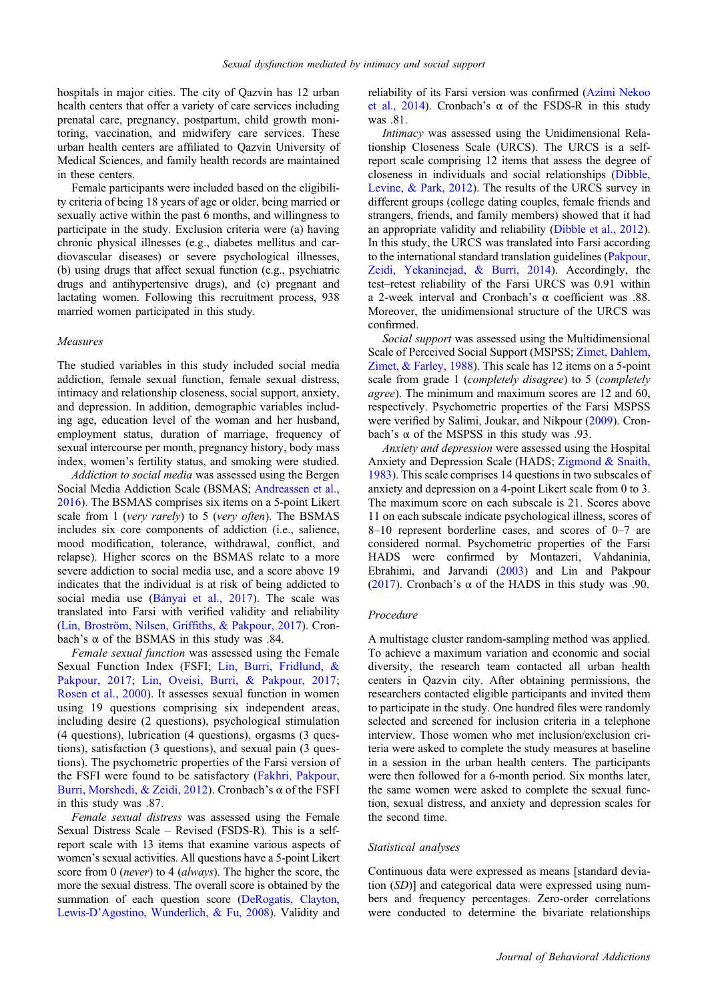hospitals in major cities. The city of Qazvin has 12 urban health centers that offer a variety of care services including prenatal care, pregnancy, postpartum, child growth monitoring, vaccination, and midwifery care services. These urban health centers are affiliated to Qazvin University of Medical Sciences, and family health records are maintained in these centers.

Female participants were included based on the eligibility criteria of being 18 years of age or older, being married or sexually active within the past 6 months, and willingness to participate in the study. Exclusion criteria were (a) having chronic physical illnesses (e.g., diabetes mellitus and cardiovascular diseases) or severe psychological illnesses, (b) using drugs that affect sexual function (e.g., psychiatric drugs and antihypertensive drugs), and (c) pregnant and lactating women. Following this recruitment process, 938 married women participated in this study.

#### Measures

The studied variables in this study included social media addiction, female sexual function, female sexual distress, intimacy and relationship closeness, social support, anxiety, and depression. In addition, demographic variables including age, education level of the woman and her husband, employment status, duration of marriage, frequency of sexual intercourse per month, pregnancy history, body mass index, women's fertility status, and smoking were studied.

Addiction to social media was assessed using the Bergen Social Media Addiction Scale (BSMAS; [Andreassen et al.,](#page-6-0) [2016](#page-6-0)). The BSMAS comprises six items on a 5-point Likert scale from 1 (very rarely) to 5 (very often). The BSMAS includes six core components of addiction (i.e., salience, mood modification, tolerance, withdrawal, conflict, and relapse). Higher scores on the BSMAS relate to a more severe addiction to social media use, and a score above 19 indicates that the individual is at risk of being addicted to social media use ([Bányai et al., 2017\)](#page-6-0). The scale was translated into Farsi with verified validity and reliability [\(Lin, Broström, Nilsen, Grif](#page-6-0)fiths, & Pakpour, 2017). Cronbach's α of the BSMAS in this study was .84.

Female sexual function was assessed using the Female Sexual Function Index (FSFI; [Lin, Burri, Fridlund, &](#page-7-0) [Pakpour, 2017;](#page-7-0) [Lin, Oveisi, Burri, & Pakpour, 2017;](#page-7-0) [Rosen et al., 2000\)](#page-7-0). It assesses sexual function in women using 19 questions comprising six independent areas, including desire (2 questions), psychological stimulation (4 questions), lubrication (4 questions), orgasms (3 questions), satisfaction (3 questions), and sexual pain (3 questions). The psychometric properties of the Farsi version of the FSFI were found to be satisfactory ([Fakhri, Pakpour,](#page-6-0) [Burri, Morshedi, & Zeidi, 2012\)](#page-6-0). Cronbach's α of the FSFI in this study was .87.

Female sexual distress was assessed using the Female Sexual Distress Scale – Revised (FSDS-R). This is a selfreport scale with 13 items that examine various aspects of women's sexual activities. All questions have a 5-point Likert score from 0 (*never*) to 4 (*always*). The higher the score, the more the sexual distress. The overall score is obtained by the summation of each question score [\(DeRogatis, Clayton,](#page-6-0) Lewis-D'[Agostino, Wunderlich, & Fu, 2008\)](#page-6-0). Validity and

reliability of its Farsi version was confirmed [\(Azimi Nekoo](#page-6-0) [et al., 2014](#page-6-0)). Cronbach's  $\alpha$  of the FSDS-R in this study was .81.

Intimacy was assessed using the Unidimensional Relationship Closeness Scale (URCS). The URCS is a selfreport scale comprising 12 items that assess the degree of closeness in individuals and social relationships ([Dibble,](#page-6-0) [Levine, & Park, 2012\)](#page-6-0). The results of the URCS survey in different groups (college dating couples, female friends and strangers, friends, and family members) showed that it had an appropriate validity and reliability ([Dibble et al., 2012](#page-6-0)). In this study, the URCS was translated into Farsi according to the international standard translation guidelines [\(Pakpour,](#page-7-0) [Zeidi, Yekaninejad, & Burri, 2014\)](#page-7-0). Accordingly, the test–retest reliability of the Farsi URCS was 0.91 within a 2-week interval and Cronbach's α coefficient was .88. Moreover, the unidimensional structure of the URCS was confirmed.

Social support was assessed using the Multidimensional Scale of Perceived Social Support (MSPSS; [Zimet, Dahlem,](#page-7-0) [Zimet, & Farley, 1988](#page-7-0)). This scale has 12 items on a 5-point scale from grade 1 (completely disagree) to 5 (completely agree). The minimum and maximum scores are 12 and 60, respectively. Psychometric properties of the Farsi MSPSS were verified by Salimi, Joukar, and Nikpour ([2009\)](#page-7-0). Cronbach's  $\alpha$  of the MSPSS in this study was .93.

Anxiety and depression were assessed using the Hospital Anxiety and Depression Scale (HADS; [Zigmond & Snaith,](#page-7-0) [1983\)](#page-7-0). This scale comprises 14 questions in two subscales of anxiety and depression on a 4-point Likert scale from 0 to 3. The maximum score on each subscale is 21. Scores above 11 on each subscale indicate psychological illness, scores of 8–10 represent borderline cases, and scores of 0–7 are considered normal. Psychometric properties of the Farsi HADS were confirmed by Montazeri, Vahdaninia, Ebrahimi, and Jarvandi ([2003\)](#page-7-0) and Lin and Pakpour ([2017\)](#page-7-0). Cronbach's  $\alpha$  of the HADS in this study was .90.

#### Procedure

A multistage cluster random-sampling method was applied. To achieve a maximum variation and economic and social diversity, the research team contacted all urban health centers in Qazvin city. After obtaining permissions, the researchers contacted eligible participants and invited them to participate in the study. One hundred files were randomly selected and screened for inclusion criteria in a telephone interview. Those women who met inclusion/exclusion criteria were asked to complete the study measures at baseline in a session in the urban health centers. The participants were then followed for a 6-month period. Six months later, the same women were asked to complete the sexual function, sexual distress, and anxiety and depression scales for the second time.

#### Statistical analyses

Continuous data were expressed as means [standard deviation (SD)] and categorical data were expressed using numbers and frequency percentages. Zero-order correlations were conducted to determine the bivariate relationships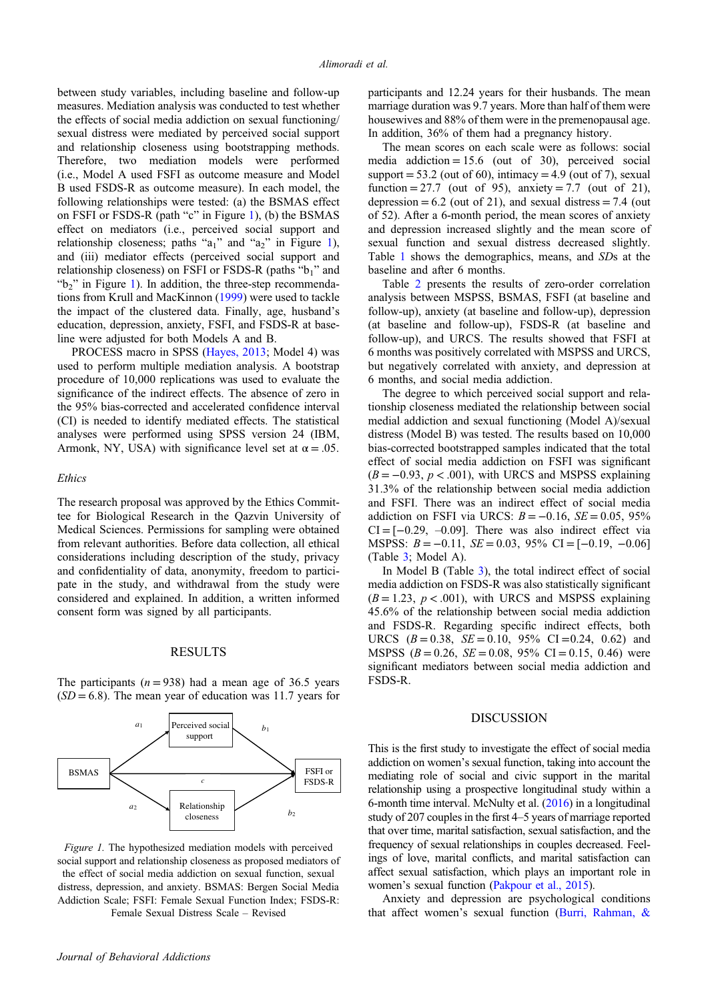between study variables, including baseline and follow-up measures. Mediation analysis was conducted to test whether the effects of social media addiction on sexual functioning/ sexual distress were mediated by perceived social support and relationship closeness using bootstrapping methods. Therefore, two mediation models were performed (i.e., Model A used FSFI as outcome measure and Model B used FSDS-R as outcome measure). In each model, the following relationships were tested: (a) the BSMAS effect on FSFI or FSDS-R (path "c" in Figure 1), (b) the BSMAS effect on mediators (i.e., perceived social support and relationship closeness; paths " $a_1$ " and " $a_2$ " in Figure 1), and (iii) mediator effects (perceived social support and relationship closeness) on FSFI or FSDS-R (paths "b1" and " $b<sub>2</sub>$ " in Figure 1). In addition, the three-step recommendations from Krull and MacKinnon [\(1999](#page-6-0)) were used to tackle the impact of the clustered data. Finally, age, husband's education, depression, anxiety, FSFI, and FSDS-R at baseline were adjusted for both Models A and B.

PROCESS macro in SPSS ([Hayes, 2013;](#page-6-0) Model 4) was used to perform multiple mediation analysis. A bootstrap procedure of 10,000 replications was used to evaluate the significance of the indirect effects. The absence of zero in the 95% bias-corrected and accelerated confidence interval (CI) is needed to identify mediated effects. The statistical analyses were performed using SPSS version 24 (IBM, Armonk, NY, USA) with significance level set at  $\alpha = .05$ .

#### Ethics

The research proposal was approved by the Ethics Committee for Biological Research in the Qazvin University of Medical Sciences. Permissions for sampling were obtained from relevant authorities. Before data collection, all ethical considerations including description of the study, privacy and confidentiality of data, anonymity, freedom to participate in the study, and withdrawal from the study were considered and explained. In addition, a written informed consent form was signed by all participants.

#### RESULTS

The participants ( $n = 938$ ) had a mean age of 36.5 years  $(SD = 6.8)$ . The mean year of education was 11.7 years for



Figure 1. The hypothesized mediation models with perceived social support and relationship closeness as proposed mediators of the effect of social media addiction on sexual function, sexual distress, depression, and anxiety. BSMAS: Bergen Social Media Addiction Scale; FSFI: Female Sexual Function Index; FSDS-R: Female Sexual Distress Scale – Revised

participants and 12.24 years for their husbands. The mean marriage duration was 9.7 years. More than half of them were housewives and 88% of them were in the premenopausal age. In addition, 36% of them had a pregnancy history.

The mean scores on each scale were as follows: social media addiction =  $15.6$  (out of 30), perceived social support =  $53.2$  (out of 60), intimacy =  $4.9$  (out of 7), sexual function = 27.7 (out of 95), anxiety = 7.7 (out of 21), depression =  $6.2$  (out of 21), and sexual distress =  $7.4$  (out of 52). After a 6-month period, the mean scores of anxiety and depression increased slightly and the mean score of sexual function and sexual distress decreased slightly. Table [1](#page-4-0) shows the demographics, means, and SDs at the baseline and after 6 months.

Table [2](#page-4-0) presents the results of zero-order correlation analysis between MSPSS, BSMAS, FSFI (at baseline and follow-up), anxiety (at baseline and follow-up), depression (at baseline and follow-up), FSDS-R (at baseline and follow-up), and URCS. The results showed that FSFI at 6 months was positively correlated with MSPSS and URCS, but negatively correlated with anxiety, and depression at 6 months, and social media addiction.

The degree to which perceived social support and relationship closeness mediated the relationship between social medial addiction and sexual functioning (Model A)/sexual distress (Model B) was tested. The results based on 10,000 bias-corrected bootstrapped samples indicated that the total effect of social media addiction on FSFI was significant  $(B = -0.93, p < .001)$ , with URCS and MSPSS explaining 31.3% of the relationship between social media addiction and FSFI. There was an indirect effect of social media addiction on FSFI via URCS:  $B = -0.16$ ,  $SE = 0.05$ , 95%  $CI = [-0.29, -0.09]$ . There was also indirect effect via MSPSS:  $B = -0.11$ ,  $SE = 0.03$ ,  $95\%$  CI = [-0.19, -0.06] (Table [3;](#page-5-0) Model A).

In Model B (Table [3](#page-5-0)), the total indirect effect of social media addiction on FSDS-R was also statistically significant  $(B = 1.23, p < .001)$ , with URCS and MSPSS explaining 45.6% of the relationship between social media addiction and FSDS-R. Regarding specific indirect effects, both URCS  $(B = 0.38, SE = 0.10, 95\% \text{ CI} = 0.24, 0.62)$  and MSPSS  $(B = 0.26, SE = 0.08, 95\% \text{ CI} = 0.15, 0.46)$  were significant mediators between social media addiction and FSDS-R.

#### DISCUSSION

This is the first study to investigate the effect of social media addiction on women's sexual function, taking into account the mediating role of social and civic support in the marital relationship using a prospective longitudinal study within a 6-month time interval. McNulty et al. [\(2016\)](#page-7-0) in a longitudinal study of 207 couples in the first 4–5 years of marriage reported that over time, marital satisfaction, sexual satisfaction, and the frequency of sexual relationships in couples decreased. Feelings of love, marital conflicts, and marital satisfaction can affect sexual satisfaction, which plays an important role in women's sexual function ([Pakpour et al., 2015](#page-7-0)).

Anxiety and depression are psychological conditions that affect women's sexual function [\(Burri, Rahman, &](#page-6-0)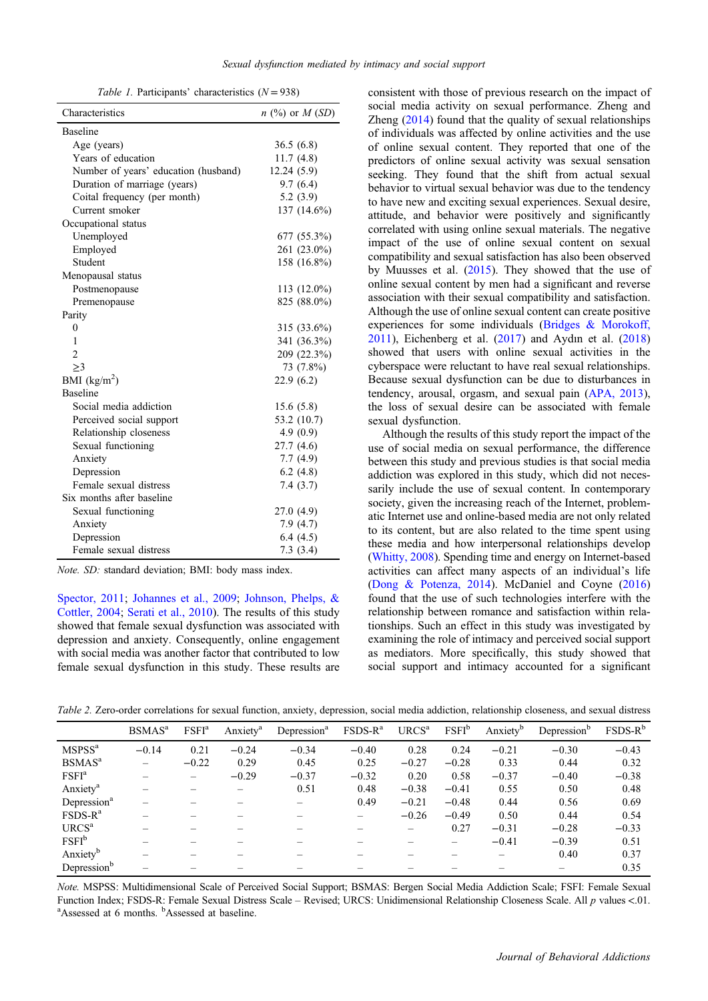Table 1. Participants' characteristics  $(N = 938)$ 

<span id="page-4-0"></span>

| Characteristics                      | $n$ (%) or $M(SD)$ |
|--------------------------------------|--------------------|
| Baseline                             |                    |
| Age (years)                          | 36.5(6.8)          |
| Years of education                   | 11.7(4.8)          |
| Number of years' education (husband) | 12.24 (5.9)        |
| Duration of marriage (years)         | 9.7(6.4)           |
| Coital frequency (per month)         | 5.2(3.9)           |
| Current smoker                       | 137 (14.6%)        |
| Occupational status                  |                    |
| Unemployed                           | 677 (55.3%)        |
| Employed                             | 261 (23.0%)        |
| Student                              | 158 (16.8%)        |
| Menopausal status                    |                    |
| Postmenopause                        | 113 (12.0%)        |
| Premenopause                         | 825 (88.0%)        |
| Parity                               |                    |
| 0                                    | 315 (33.6%)        |
| 1                                    | 341 (36.3%)        |
| $\overline{2}$                       | 209 (22.3%)        |
| >3                                   | 73 (7.8%)          |
| BMI $(kg/m^2)$                       | 22.9(6.2)          |
| Baseline                             |                    |
| Social media addiction               | 15.6(5.8)          |
| Perceived social support             | 53.2 (10.7)        |
| Relationship closeness               | 4.9(0.9)           |
| Sexual functioning                   | 27.7 (4.6)         |
| Anxiety                              | 7.7(4.9)           |
| Depression                           | 6.2(4.8)           |
| Female sexual distress               | 7.4(3.7)           |
| Six months after baseline            |                    |
| Sexual functioning                   | 27.0 (4.9)         |
| Anxiety                              | 7.9(4.7)           |
| Depression                           | 6.4(4.5)           |
| Female sexual distress               | 7.3(3.4)           |

Note. SD: standard deviation; BMI: body mass index.

[Spector, 2011;](#page-6-0) [Johannes et al., 2009](#page-6-0); [Johnson, Phelps, &](#page-6-0) [Cottler, 2004](#page-6-0); [Serati et al., 2010\)](#page-7-0). The results of this study showed that female sexual dysfunction was associated with depression and anxiety. Consequently, online engagement with social media was another factor that contributed to low female sexual dysfunction in this study. These results are consistent with those of previous research on the impact of social media activity on sexual performance. Zheng and Zheng [\(2014](#page-7-0)) found that the quality of sexual relationships of individuals was affected by online activities and the use of online sexual content. They reported that one of the predictors of online sexual activity was sexual sensation seeking. They found that the shift from actual sexual behavior to virtual sexual behavior was due to the tendency to have new and exciting sexual experiences. Sexual desire, attitude, and behavior were positively and significantly correlated with using online sexual materials. The negative impact of the use of online sexual content on sexual compatibility and sexual satisfaction has also been observed by Muusses et al. [\(2015](#page-7-0)). They showed that the use of online sexual content by men had a significant and reverse association with their sexual compatibility and satisfaction. Although the use of online sexual content can create positive experiences for some individuals ([Bridges & Morokoff,](#page-6-0) [2011\)](#page-6-0), Eichenberg et al. ([2017\)](#page-6-0) and Aydın et al. ([2018\)](#page-6-0) showed that users with online sexual activities in the cyberspace were reluctant to have real sexual relationships. Because sexual dysfunction can be due to disturbances in tendency, arousal, orgasm, and sexual pain ([APA, 2013](#page-5-0)), the loss of sexual desire can be associated with female sexual dysfunction.

Although the results of this study report the impact of the use of social media on sexual performance, the difference between this study and previous studies is that social media addiction was explored in this study, which did not necessarily include the use of sexual content. In contemporary society, given the increasing reach of the Internet, problematic Internet use and online-based media are not only related to its content, but are also related to the time spent using these media and how interpersonal relationships develop ([Whitty, 2008](#page-7-0)). Spending time and energy on Internet-based activities can affect many aspects of an individual's life ([Dong & Potenza, 2014](#page-6-0)). McDaniel and Coyne ([2016\)](#page-7-0) found that the use of such technologies interfere with the relationship between romance and satisfaction within relationships. Such an effect in this study was investigated by examining the role of intimacy and perceived social support as mediators. More specifically, this study showed that social support and intimacy accounted for a significant

Table 2. Zero-order correlations for sexual function, anxiety, depression, social media addiction, relationship closeness, and sexual distress

|                         | BSMAS <sup>a</sup> | FSFI <sup>a</sup> | Anxiety <sup>a</sup> | Depression <sup>a</sup> | $FSDS-Ra$ | URCS <sup>a</sup> | FSFI <sup>b</sup>        | Anxiety <sup>b</sup> | Depression <sup>b</sup> | $FSDS-Rb$ |
|-------------------------|--------------------|-------------------|----------------------|-------------------------|-----------|-------------------|--------------------------|----------------------|-------------------------|-----------|
| $MSPSS^a$               | $-0.14$            | 0.21              | $-0.24$              | $-0.34$                 | $-0.40$   | 0.28              | 0.24                     | $-0.21$              | $-0.30$                 | $-0.43$   |
| $BSMAS^a$               |                    | $-0.22$           | 0.29                 | 0.45                    | 0.25      | $-0.27$           | $-0.28$                  | 0.33                 | 0.44                    | 0.32      |
| FSFI <sup>a</sup>       |                    |                   | $-0.29$              | $-0.37$                 | $-0.32$   | 0.20              | 0.58                     | $-0.37$              | $-0.40$                 | $-0.38$   |
| Anxiety <sup>a</sup>    |                    |                   |                      | 0.51                    | 0.48      | $-0.38$           | $-0.41$                  | 0.55                 | 0.50                    | 0.48      |
| Depression <sup>a</sup> |                    |                   |                      | $\hspace{0.05cm}$       | 0.49      | $-0.21$           | $-0.48$                  | 0.44                 | 0.56                    | 0.69      |
| $FSDS-Ra$               |                    |                   |                      |                         |           | $-0.26$           | $-0.49$                  | 0.50                 | 0.44                    | 0.54      |
| URCS <sup>a</sup>       |                    |                   |                      |                         |           |                   | 0.27                     | $-0.31$              | $-0.28$                 | $-0.33$   |
| F <sup>b</sup>          |                    |                   |                      |                         |           |                   | $\overline{\phantom{0}}$ | $-0.41$              | $-0.39$                 | 0.51      |
| Anxiety <sup>b</sup>    |                    |                   |                      |                         |           |                   |                          |                      | 0.40                    | 0.37      |
| Depression <sup>b</sup> |                    |                   |                      |                         |           |                   |                          |                      |                         | 0.35      |

Note. MSPSS: Multidimensional Scale of Perceived Social Support; BSMAS: Bergen Social Media Addiction Scale; FSFI: Female Sexual Function Index; FSDS-R: Female Sexual Distress Scale – Revised; URCS: Unidimensional Relationship Closeness Scale. All p values <.01. Assessed at 6 months. <sup>b</sup>Assessed at baseline.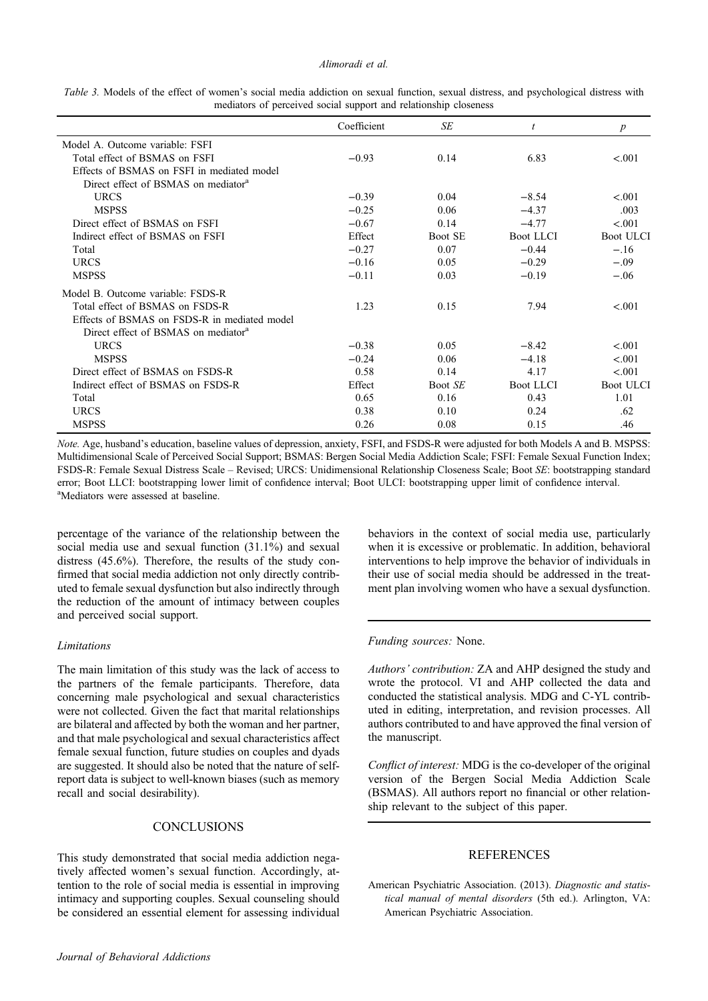#### Alimoradi et al.

<span id="page-5-0"></span>

|  |  |  |                                                                  |  |  |  | Table 3. Models of the effect of women's social media addiction on sexual function, sexual distress, and psychological distress with |  |
|--|--|--|------------------------------------------------------------------|--|--|--|--------------------------------------------------------------------------------------------------------------------------------------|--|
|  |  |  | mediators of perceived social support and relationship closeness |  |  |  |                                                                                                                                      |  |

|                                                 | Coefficient | SE             | t                | $\boldsymbol{p}$ |
|-------------------------------------------------|-------------|----------------|------------------|------------------|
| Model A. Outcome variable: FSFI                 |             |                |                  |                  |
| Total effect of BSMAS on FSFI                   | $-0.93$     | 0.14           | 6.83             | < 0.01           |
| Effects of BSMAS on FSFI in mediated model      |             |                |                  |                  |
| Direct effect of BSMAS on mediator <sup>a</sup> |             |                |                  |                  |
| <b>URCS</b>                                     | $-0.39$     | 0.04           | $-8.54$          | < 0.01           |
| <b>MSPSS</b>                                    | $-0.25$     | 0.06           | $-4.37$          | .003             |
| Direct effect of BSMAS on FSFI                  | $-0.67$     | 0.14           | $-4.77$          | < 0.01           |
| Indirect effect of BSMAS on FSFI                | Effect      | <b>Boot SE</b> | <b>Boot LLCI</b> | <b>Boot ULCI</b> |
| Total                                           | $-0.27$     | 0.07           | $-0.44$          | $-.16$           |
| <b>URCS</b>                                     | $-0.16$     | 0.05           | $-0.29$          | $-.09$           |
| <b>MSPSS</b>                                    | $-0.11$     | 0.03           | $-0.19$          | $-.06$           |
| Model B. Outcome variable: FSDS-R               |             |                |                  |                  |
| Total effect of BSMAS on FSDS-R                 | 1.23        | 0.15           | 7.94             | < .001           |
| Effects of BSMAS on FSDS-R in mediated model    |             |                |                  |                  |
| Direct effect of BSMAS on mediator <sup>a</sup> |             |                |                  |                  |
| <b>URCS</b>                                     | $-0.38$     | 0.05           | $-8.42$          | < 0.01           |
| <b>MSPSS</b>                                    | $-0.24$     | 0.06           | $-4.18$          | < .001           |
| Direct effect of BSMAS on FSDS-R                | 0.58        | 0.14           | 4.17             | < .001           |
| Indirect effect of BSMAS on FSDS-R              | Effect      | Boot SE        | <b>Boot LLCI</b> | <b>Boot ULCI</b> |
| Total                                           | 0.65        | 0.16           | 0.43             | 1.01             |
| <b>URCS</b>                                     | 0.38        | 0.10           | 0.24             | .62              |
| <b>MSPSS</b>                                    | 0.26        | 0.08           | 0.15             | .46              |

Note. Age, husband's education, baseline values of depression, anxiety, FSFI, and FSDS-R were adjusted for both Models A and B. MSPSS: Multidimensional Scale of Perceived Social Support; BSMAS: Bergen Social Media Addiction Scale; FSFI: Female Sexual Function Index; FSDS-R: Female Sexual Distress Scale – Revised; URCS: Unidimensional Relationship Closeness Scale; Boot SE: bootstrapping standard error; Boot LLCI: bootstrapping lower limit of confidence interval; Boot ULCI: bootstrapping upper limit of confidence interval. <sup>a</sup>Mediators were assessed at baseline.

percentage of the variance of the relationship between the social media use and sexual function (31.1%) and sexual distress (45.6%). Therefore, the results of the study confirmed that social media addiction not only directly contributed to female sexual dysfunction but also indirectly through the reduction of the amount of intimacy between couples and perceived social support.

# Limitations

The main limitation of this study was the lack of access to the partners of the female participants. Therefore, data concerning male psychological and sexual characteristics were not collected. Given the fact that marital relationships are bilateral and affected by both the woman and her partner, and that male psychological and sexual characteristics affect female sexual function, future studies on couples and dyads are suggested. It should also be noted that the nature of selfreport data is subject to well-known biases (such as memory recall and social desirability).

# **CONCLUSIONS**

This study demonstrated that social media addiction negatively affected women's sexual function. Accordingly, attention to the role of social media is essential in improving intimacy and supporting couples. Sexual counseling should be considered an essential element for assessing individual

behaviors in the context of social media use, particularly when it is excessive or problematic. In addition, behavioral interventions to help improve the behavior of individuals in their use of social media should be addressed in the treatment plan involving women who have a sexual dysfunction.

#### Funding sources: None.

Authors' contribution: ZA and AHP designed the study and wrote the protocol. VI and AHP collected the data and conducted the statistical analysis. MDG and C-YL contributed in editing, interpretation, and revision processes. All authors contributed to and have approved the final version of the manuscript.

Conflict of interest: MDG is the co-developer of the original version of the Bergen Social Media Addiction Scale (BSMAS). All authors report no financial or other relationship relevant to the subject of this paper.

# **REFERENCES**

American Psychiatric Association. (2013). Diagnostic and statistical manual of mental disorders (5th ed.). Arlington, VA: American Psychiatric Association.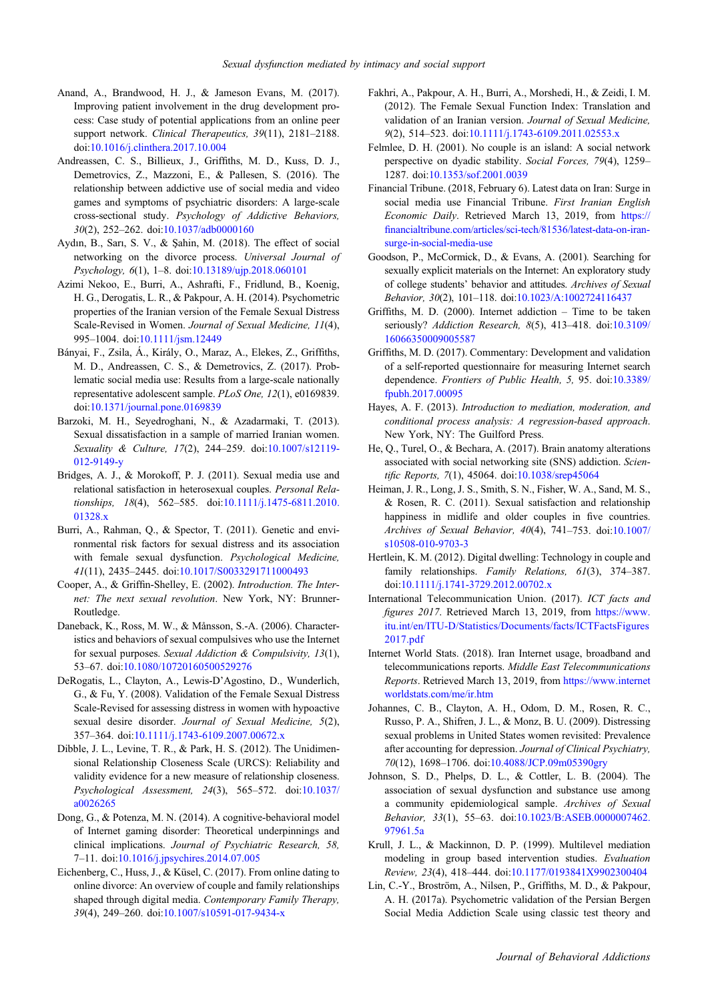- <span id="page-6-0"></span>Anand, A., Brandwood, H. J., & Jameson Evans, M. (2017). Improving patient involvement in the drug development process: Case study of potential applications from an online peer support network. Clinical Therapeutics, 39(11), 2181-2188. doi:[10.1016/j.clinthera.2017.10.004](http://dx.doi.org/10.1016/j.clinthera.2017.10.004)
- Andreassen, C. S., Billieux, J., Griffiths, M. D., Kuss, D. J., Demetrovics, Z., Mazzoni, E., & Pallesen, S. (2016). The relationship between addictive use of social media and video games and symptoms of psychiatric disorders: A large-scale cross-sectional study. Psychology of Addictive Behaviors, 30(2), 252–262. doi[:10.1037/adb0000160](http://dx.doi.org/10.1037/adb0000160)
- Aydın, B., Sarı, S. V.,  $\&$  Sahin, M. (2018). The effect of social networking on the divorce process. Universal Journal of Psychology, 6(1), 1–8. doi:[10.13189/ujp.2018.060101](http://dx.doi.org/10.13189/ujp.2018.060101)
- Azimi Nekoo, E., Burri, A., Ashrafti, F., Fridlund, B., Koenig, H. G., Derogatis, L. R., & Pakpour, A. H. (2014). Psychometric properties of the Iranian version of the Female Sexual Distress Scale-Revised in Women. Journal of Sexual Medicine, 11(4), 995–1004. doi[:10.1111/jsm.12449](http://dx.doi.org/10.1111/jsm.12449)
- Bányai, F., Zsila, Á., Király, O., Maraz, A., Elekes, Z., Griffiths, M. D., Andreassen, C. S., & Demetrovics, Z. (2017). Problematic social media use: Results from a large-scale nationally representative adolescent sample. PLoS One, 12(1), e0169839. doi:[10.1371/journal.pone.0169839](http://dx.doi.org/10.1371/journal.pone.0169839)
- Barzoki, M. H., Seyedroghani, N., & Azadarmaki, T. (2013). Sexual dissatisfaction in a sample of married Iranian women. Sexuality & Culture, 17(2), 244–259. doi[:10.1007/s12119-](http://dx.doi.org/10.1007/s12119-012-9149-y) [012-9149-y](http://dx.doi.org/10.1007/s12119-012-9149-y)
- Bridges, A. J., & Morokoff, P. J. (2011). Sexual media use and relational satisfaction in heterosexual couples. Personal Relationships, 18(4), 562–585. doi:[10.1111/j.1475-6811.2010.](http://dx.doi.org/10.1111/j.1475-6811.2010.01328.x) [01328.x](http://dx.doi.org/10.1111/j.1475-6811.2010.01328.x)
- Burri, A., Rahman, O., & Spector, T. (2011). Genetic and environmental risk factors for sexual distress and its association with female sexual dysfunction. Psychological Medicine, 41(11), 2435–2445. doi:[10.1017/S0033291711000493](http://dx.doi.org/10.1017/S0033291711000493)
- Cooper, A., & Griffin-Shelley, E. (2002). Introduction. The Internet: The next sexual revolution. New York, NY: Brunner-Routledge.
- Daneback, K., Ross, M. W., & Månsson, S.-A. (2006). Characteristics and behaviors of sexual compulsives who use the Internet for sexual purposes. Sexual Addiction & Compulsivity, 13(1), 53–67. doi:[10.1080/10720160500529276](http://dx.doi.org/10.1080/10720160500529276)
- DeRogatis, L., Clayton, A., Lewis-D'Agostino, D., Wunderlich, G., & Fu, Y. (2008). Validation of the Female Sexual Distress Scale-Revised for assessing distress in women with hypoactive sexual desire disorder. Journal of Sexual Medicine, 5(2), 357–364. doi:[10.1111/j.1743-6109.2007.00672.x](http://dx.doi.org/10.1111/j.1743-6109.2007.00672.x)
- Dibble, J. L., Levine, T. R., & Park, H. S. (2012). The Unidimensional Relationship Closeness Scale (URCS): Reliability and validity evidence for a new measure of relationship closeness. Psychological Assessment, 24(3), 565–572. doi:[10.1037/](http://dx.doi.org/10.1037/a0026265) [a0026265](http://dx.doi.org/10.1037/a0026265)
- Dong, G., & Potenza, M. N. (2014). A cognitive-behavioral model of Internet gaming disorder: Theoretical underpinnings and clinical implications. Journal of Psychiatric Research, 58, 7–11. doi[:10.1016/j.jpsychires.2014.07.005](http://dx.doi.org/10.1016/j.jpsychires.2014.07.005)
- Eichenberg, C., Huss, J., & Küsel, C. (2017). From online dating to online divorce: An overview of couple and family relationships shaped through digital media. Contemporary Family Therapy, 39(4), 249–260. doi[:10.1007/s10591-017-9434-x](http://dx.doi.org/10.1007/s10591-017-9434-x)
- Fakhri, A., Pakpour, A. H., Burri, A., Morshedi, H., & Zeidi, I. M. (2012). The Female Sexual Function Index: Translation and validation of an Iranian version. Journal of Sexual Medicine, 9(2), 514–523. doi[:10.1111/j.1743-6109.2011.02553.x](http://dx.doi.org/10.1111/j.1743-6109.2011.02553.x)
- Felmlee, D. H. (2001). No couple is an island: A social network perspective on dyadic stability. Social Forces, 79(4), 1259– 1287. doi:[10.1353/sof.2001.0039](http://dx.doi.org/10.1353/sof.2001.0039)
- Financial Tribune. (2018, February 6). Latest data on Iran: Surge in social media use Financial Tribune. First Iranian English Economic Daily. Retrieved March 13, 2019, from [https://](https://financialtribune.com/articles/sci-tech/81536/latest-data-on-iran-surge-in-social-media-use) fi[nancialtribune.com/articles/sci-tech/81536/latest-data-on-iran](https://financialtribune.com/articles/sci-tech/81536/latest-data-on-iran-surge-in-social-media-use)[surge-in-social-media-use](https://financialtribune.com/articles/sci-tech/81536/latest-data-on-iran-surge-in-social-media-use)
- Goodson, P., McCormick, D., & Evans, A. (2001). Searching for sexually explicit materials on the Internet: An exploratory study of college students' behavior and attitudes. Archives of Sexual Behavior, 30(2), 101–118. doi:[10.1023/A:1002724116437](http://dx.doi.org/10.1023/A:1002724116437)
- Griffiths, M. D. (2000). Internet addiction Time to be taken seriously? Addiction Research, 8(5), 413–418. doi[:10.3109/](http://dx.doi.org/10.3109/16066350009005587) [16066350009005587](http://dx.doi.org/10.3109/16066350009005587)
- Griffiths, M. D. (2017). Commentary: Development and validation of a self-reported questionnaire for measuring Internet search dependence. Frontiers of Public Health, 5, 95. doi[:10.3389/](http://dx.doi.org/10.3389/fpubh.2017.00095) [fpubh.2017.00095](http://dx.doi.org/10.3389/fpubh.2017.00095)
- Hayes, A. F. (2013). Introduction to mediation, moderation, and conditional process analysis: A regression-based approach. New York, NY: The Guilford Press.
- He, Q., Turel, O., & Bechara, A. (2017). Brain anatomy alterations associated with social networking site (SNS) addiction. Scientific Reports, 7(1), 45064. doi[:10.1038/srep45064](http://dx.doi.org/10.1038/srep45064)
- Heiman, J. R., Long, J. S., Smith, S. N., Fisher, W. A., Sand, M. S., & Rosen, R. C. (2011). Sexual satisfaction and relationship happiness in midlife and older couples in five countries. Archives of Sexual Behavior, 40(4), 741–753. doi[:10.1007/](http://dx.doi.org/10.1007/s10508-010-9703-3) [s10508-010-9703-3](http://dx.doi.org/10.1007/s10508-010-9703-3)
- Hertlein, K. M. (2012). Digital dwelling: Technology in couple and family relationships. Family Relations, 61(3), 374-387. doi[:10.1111/j.1741-3729.2012.00702.x](http://dx.doi.org/10.1111/j.1741-3729.2012.00702.x)
- International Telecommunication Union. (2017). ICT facts and figures 2017. Retrieved March 13, 2019, from [https://www.](https://www.itu.int/en/ITU-D/Statistics/Documents/facts/ICTFactsFigures2017.pdf) [itu.int/en/ITU-D/Statistics/Documents/facts/ICTFactsFigures](https://www.itu.int/en/ITU-D/Statistics/Documents/facts/ICTFactsFigures2017.pdf) [2017.pdf](https://www.itu.int/en/ITU-D/Statistics/Documents/facts/ICTFactsFigures2017.pdf)
- Internet World Stats. (2018). Iran Internet usage, broadband and telecommunications reports. Middle East Telecommunications Reports. Retrieved March 13, 2019, from [https://www.internet](https://www.internetworldstats.com/me/ir.htm) [worldstats.com/me/ir.htm](https://www.internetworldstats.com/me/ir.htm)
- Johannes, C. B., Clayton, A. H., Odom, D. M., Rosen, R. C., Russo, P. A., Shifren, J. L., & Monz, B. U. (2009). Distressing sexual problems in United States women revisited: Prevalence after accounting for depression. Journal of Clinical Psychiatry, 70(12), 1698–1706. doi[:10.4088/JCP.09m05390gry](http://dx.doi.org/10.4088/JCP.09m05390gry)
- Johnson, S. D., Phelps, D. L., & Cottler, L. B. (2004). The association of sexual dysfunction and substance use among a community epidemiological sample. Archives of Sexual Behavior, 33(1), 55–63. doi:[10.1023/B:ASEB.0000007462.](http://dx.doi.org/10.1023/B:ASEB.0000007462.97961.5a) [97961.5a](http://dx.doi.org/10.1023/B:ASEB.0000007462.97961.5a)
- Krull, J. L., & Mackinnon, D. P. (1999). Multilevel mediation modeling in group based intervention studies. Evaluation Review, 23(4), 418–444. doi:[10.1177/0193841X9902300404](http://dx.doi.org/10.1177/0193841X9902300404)
- Lin, C.-Y., Broström, A., Nilsen, P., Griffiths, M. D., & Pakpour, A. H. (2017a). Psychometric validation of the Persian Bergen Social Media Addiction Scale using classic test theory and